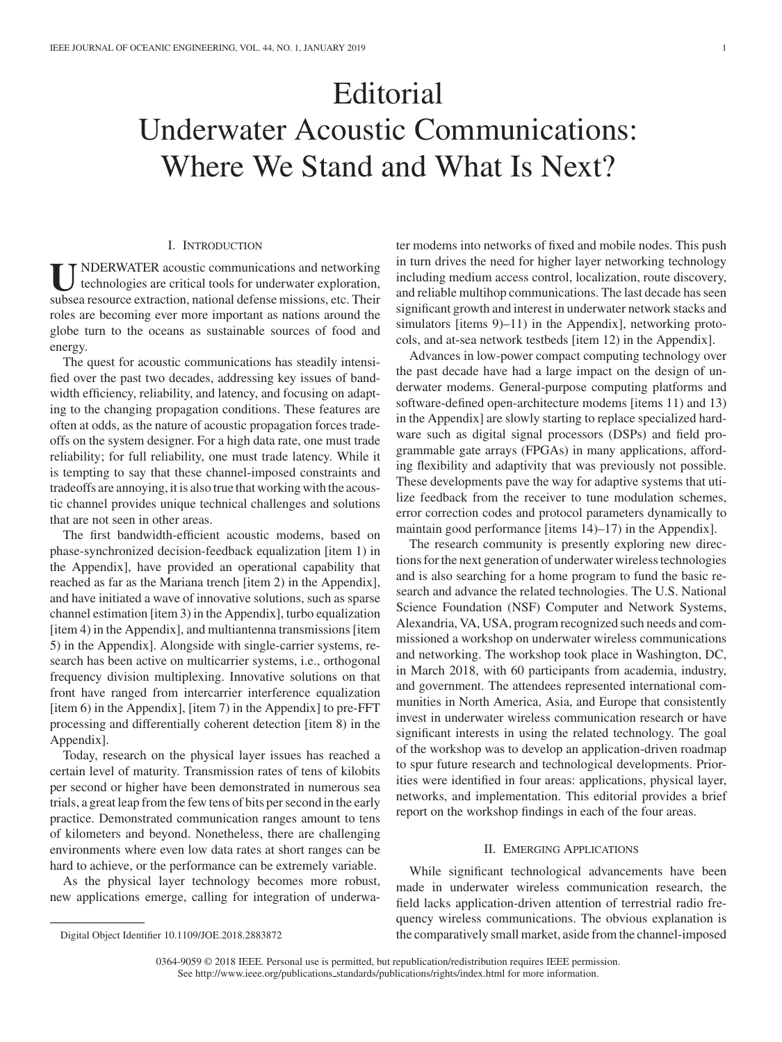# Editorial Underwater Acoustic Communications: Where We Stand and What Is Next?

#### I. INTRODUCTION

**T** NDERWATER acoustic communications and networking technologies are critical tools for underwater exploration, subsea resource extraction, national defense missions, etc. Their roles are becoming ever more important as nations around the globe turn to the oceans as sustainable sources of food and energy.

The quest for acoustic communications has steadily intensified over the past two decades, addressing key issues of bandwidth efficiency, reliability, and latency, and focusing on adapting to the changing propagation conditions. These features are often at odds, as the nature of acoustic propagation forces tradeoffs on the system designer. For a high data rate, one must trade reliability; for full reliability, one must trade latency. While it is tempting to say that these channel-imposed constraints and tradeoffs are annoying, it is also true that working with the acoustic channel provides unique technical challenges and solutions that are not seen in other areas.

The first bandwidth-efficient acoustic modems, based on phase-synchronized decision-feedback equalization [item 1) in the Appendix], have provided an operational capability that reached as far as the Mariana trench [item 2) in the Appendix], and have initiated a wave of innovative solutions, such as sparse channel estimation [item 3) in the Appendix], turbo equalization [item 4) in the Appendix], and multiantenna transmissions [item 5) in the Appendix]. Alongside with single-carrier systems, research has been active on multicarrier systems, i.e., orthogonal frequency division multiplexing. Innovative solutions on that front have ranged from intercarrier interference equalization [item 6) in the Appendix], [item 7) in the Appendix] to pre-FFT processing and differentially coherent detection [item 8) in the Appendix].

Today, research on the physical layer issues has reached a certain level of maturity. Transmission rates of tens of kilobits per second or higher have been demonstrated in numerous sea trials, a great leap from the few tens of bits per second in the early practice. Demonstrated communication ranges amount to tens of kilometers and beyond. Nonetheless, there are challenging environments where even low data rates at short ranges can be hard to achieve, or the performance can be extremely variable.

As the physical layer technology becomes more robust, new applications emerge, calling for integration of underwater modems into networks of fixed and mobile nodes. This push in turn drives the need for higher layer networking technology including medium access control, localization, route discovery, and reliable multihop communications. The last decade has seen significant growth and interest in underwater network stacks and simulators [items 9)–11) in the Appendix], networking protocols, and at-sea network testbeds [item 12) in the Appendix].

Advances in low-power compact computing technology over the past decade have had a large impact on the design of underwater modems. General-purpose computing platforms and software-defined open-architecture modems [items 11) and 13) in the Appendix] are slowly starting to replace specialized hardware such as digital signal processors (DSPs) and field programmable gate arrays (FPGAs) in many applications, affording flexibility and adaptivity that was previously not possible. These developments pave the way for adaptive systems that utilize feedback from the receiver to tune modulation schemes, error correction codes and protocol parameters dynamically to maintain good performance [items 14)–17) in the Appendix].

The research community is presently exploring new directions for the next generation of underwater wireless technologies and is also searching for a home program to fund the basic research and advance the related technologies. The U.S. National Science Foundation (NSF) Computer and Network Systems, Alexandria, VA, USA, program recognized such needs and commissioned a workshop on underwater wireless communications and networking. The workshop took place in Washington, DC, in March 2018, with 60 participants from academia, industry, and government. The attendees represented international communities in North America, Asia, and Europe that consistently invest in underwater wireless communication research or have significant interests in using the related technology. The goal of the workshop was to develop an application-driven roadmap to spur future research and technological developments. Priorities were identified in four areas: applications, physical layer, networks, and implementation. This editorial provides a brief report on the workshop findings in each of the four areas.

## II. EMERGING APPLICATIONS

While significant technological advancements have been made in underwater wireless communication research, the field lacks application-driven attention of terrestrial radio frequency wireless communications. The obvious explanation is the comparatively small market, aside from the channel-imposed

Digital Object Identifier 10.1109/JOE.2018.2883872

<sup>0364-9059 © 2018</sup> IEEE. Personal use is permitted, but republication/redistribution requires IEEE permission. See http://www.ieee.org/publications.standards/publications/rights/index.html for more information.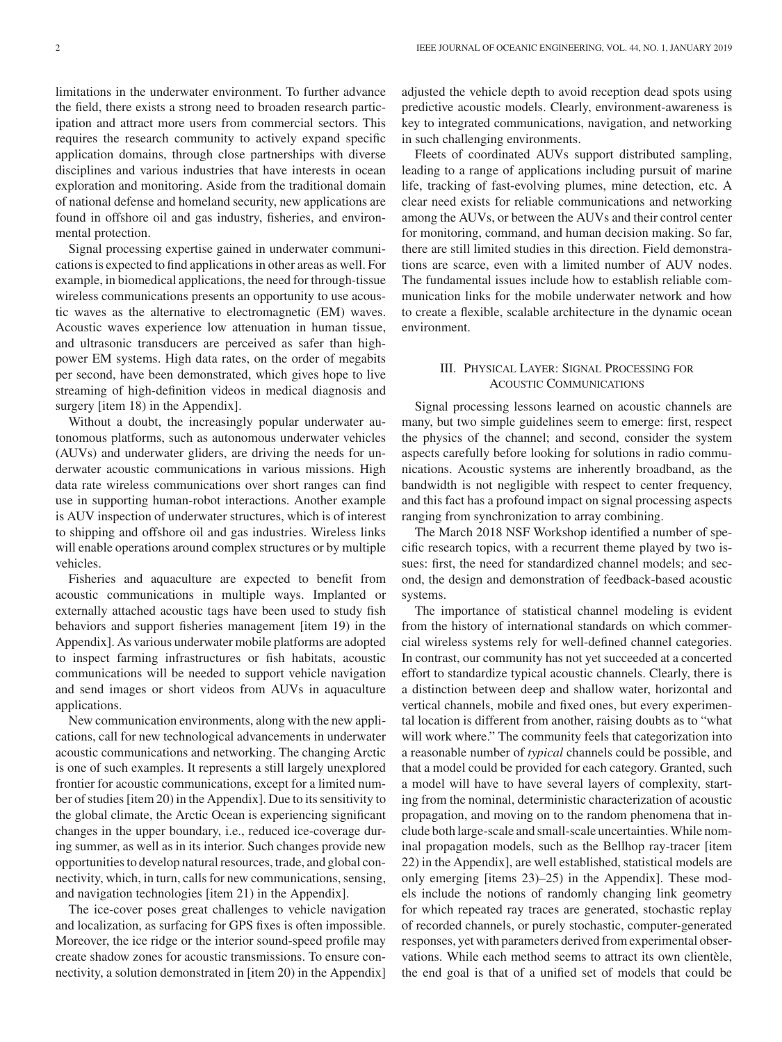limitations in the underwater environment. To further advance the field, there exists a strong need to broaden research participation and attract more users from commercial sectors. This requires the research community to actively expand specific application domains, through close partnerships with diverse disciplines and various industries that have interests in ocean exploration and monitoring. Aside from the traditional domain of national defense and homeland security, new applications are found in offshore oil and gas industry, fisheries, and environmental protection.

Signal processing expertise gained in underwater communications is expected to find applications in other areas as well. For example, in biomedical applications, the need for through-tissue wireless communications presents an opportunity to use acoustic waves as the alternative to electromagnetic (EM) waves. Acoustic waves experience low attenuation in human tissue, and ultrasonic transducers are perceived as safer than highpower EM systems. High data rates, on the order of megabits per second, have been demonstrated, which gives hope to live streaming of high-definition videos in medical diagnosis and surgery [item 18) in the Appendix].

Without a doubt, the increasingly popular underwater autonomous platforms, such as autonomous underwater vehicles (AUVs) and underwater gliders, are driving the needs for underwater acoustic communications in various missions. High data rate wireless communications over short ranges can find use in supporting human-robot interactions. Another example is AUV inspection of underwater structures, which is of interest to shipping and offshore oil and gas industries. Wireless links will enable operations around complex structures or by multiple vehicles.

Fisheries and aquaculture are expected to benefit from acoustic communications in multiple ways. Implanted or externally attached acoustic tags have been used to study fish behaviors and support fisheries management [item 19) in the Appendix]. As various underwater mobile platforms are adopted to inspect farming infrastructures or fish habitats, acoustic communications will be needed to support vehicle navigation and send images or short videos from AUVs in aquaculture applications.

New communication environments, along with the new applications, call for new technological advancements in underwater acoustic communications and networking. The changing Arctic is one of such examples. It represents a still largely unexplored frontier for acoustic communications, except for a limited number of studies [item 20) in the Appendix]. Due to its sensitivity to the global climate, the Arctic Ocean is experiencing significant changes in the upper boundary, i.e., reduced ice-coverage during summer, as well as in its interior. Such changes provide new opportunities to develop natural resources, trade, and global connectivity, which, in turn, calls for new communications, sensing, and navigation technologies [item 21) in the Appendix].

The ice-cover poses great challenges to vehicle navigation and localization, as surfacing for GPS fixes is often impossible. Moreover, the ice ridge or the interior sound-speed profile may create shadow zones for acoustic transmissions. To ensure connectivity, a solution demonstrated in [item 20) in the Appendix]

adjusted the vehicle depth to avoid reception dead spots using predictive acoustic models. Clearly, environment-awareness is key to integrated communications, navigation, and networking in such challenging environments.

Fleets of coordinated AUVs support distributed sampling, leading to a range of applications including pursuit of marine life, tracking of fast-evolving plumes, mine detection, etc. A clear need exists for reliable communications and networking among the AUVs, or between the AUVs and their control center for monitoring, command, and human decision making. So far, there are still limited studies in this direction. Field demonstrations are scarce, even with a limited number of AUV nodes. The fundamental issues include how to establish reliable communication links for the mobile underwater network and how to create a flexible, scalable architecture in the dynamic ocean environment.

## III. PHYSICAL LAYER: SIGNAL PROCESSING FOR ACOUSTIC COMMUNICATIONS

Signal processing lessons learned on acoustic channels are many, but two simple guidelines seem to emerge: first, respect the physics of the channel; and second, consider the system aspects carefully before looking for solutions in radio communications. Acoustic systems are inherently broadband, as the bandwidth is not negligible with respect to center frequency, and this fact has a profound impact on signal processing aspects ranging from synchronization to array combining.

The March 2018 NSF Workshop identified a number of specific research topics, with a recurrent theme played by two issues: first, the need for standardized channel models; and second, the design and demonstration of feedback-based acoustic systems.

The importance of statistical channel modeling is evident from the history of international standards on which commercial wireless systems rely for well-defined channel categories. In contrast, our community has not yet succeeded at a concerted effort to standardize typical acoustic channels. Clearly, there is a distinction between deep and shallow water, horizontal and vertical channels, mobile and fixed ones, but every experimental location is different from another, raising doubts as to "what will work where." The community feels that categorization into a reasonable number of *typical* channels could be possible, and that a model could be provided for each category. Granted, such a model will have to have several layers of complexity, starting from the nominal, deterministic characterization of acoustic propagation, and moving on to the random phenomena that include both large-scale and small-scale uncertainties.While nominal propagation models, such as the Bellhop ray-tracer [item 22) in the Appendix], are well established, statistical models are only emerging [items 23)–25) in the Appendix]. These models include the notions of randomly changing link geometry for which repeated ray traces are generated, stochastic replay of recorded channels, or purely stochastic, computer-generated responses, yet with parameters derived from experimental observations. While each method seems to attract its own clientele, the end goal is that of a unified set of models that could be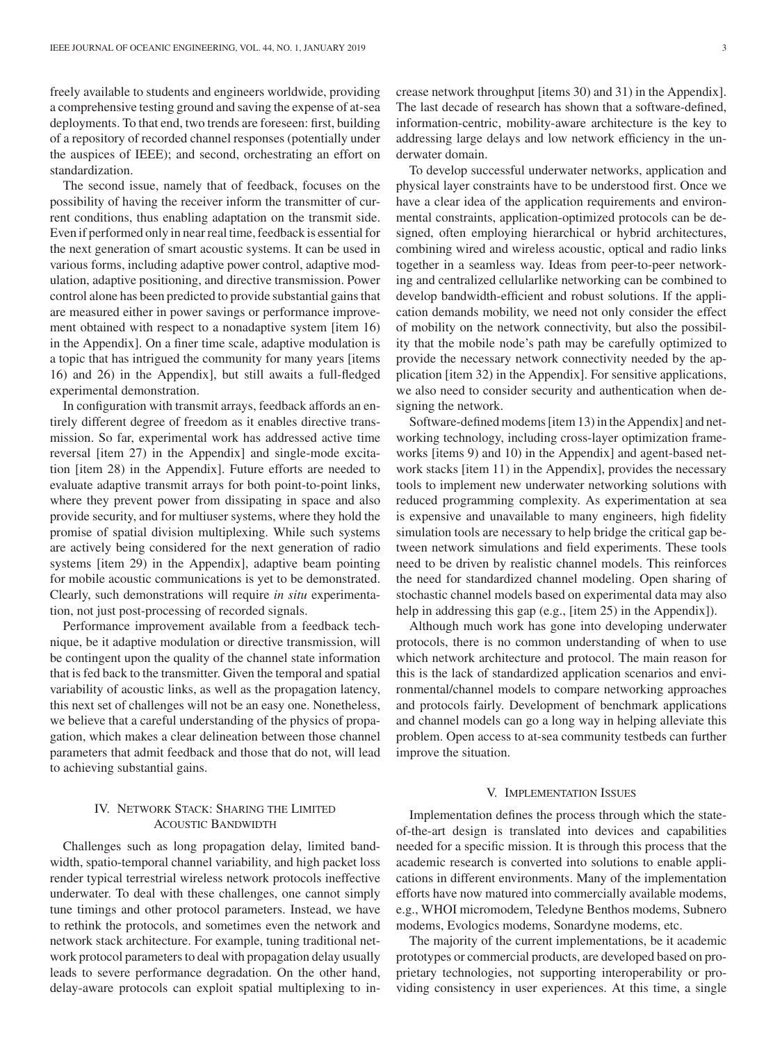freely available to students and engineers worldwide, providing a comprehensive testing ground and saving the expense of at-sea deployments. To that end, two trends are foreseen: first, building of a repository of recorded channel responses (potentially under the auspices of IEEE); and second, orchestrating an effort on standardization.

The second issue, namely that of feedback, focuses on the possibility of having the receiver inform the transmitter of current conditions, thus enabling adaptation on the transmit side. Even if performed only in near real time, feedback is essential for the next generation of smart acoustic systems. It can be used in various forms, including adaptive power control, adaptive modulation, adaptive positioning, and directive transmission. Power control alone has been predicted to provide substantial gains that are measured either in power savings or performance improvement obtained with respect to a nonadaptive system [item 16) in the Appendix]. On a finer time scale, adaptive modulation is a topic that has intrigued the community for many years [items 16) and 26) in the Appendix], but still awaits a full-fledged experimental demonstration.

In configuration with transmit arrays, feedback affords an entirely different degree of freedom as it enables directive transmission. So far, experimental work has addressed active time reversal [item 27) in the Appendix] and single-mode excitation [item 28) in the Appendix]. Future efforts are needed to evaluate adaptive transmit arrays for both point-to-point links, where they prevent power from dissipating in space and also provide security, and for multiuser systems, where they hold the promise of spatial division multiplexing. While such systems are actively being considered for the next generation of radio systems [item 29) in the Appendix], adaptive beam pointing for mobile acoustic communications is yet to be demonstrated. Clearly, such demonstrations will require *in situ* experimentation, not just post-processing of recorded signals.

Performance improvement available from a feedback technique, be it adaptive modulation or directive transmission, will be contingent upon the quality of the channel state information that is fed back to the transmitter. Given the temporal and spatial variability of acoustic links, as well as the propagation latency, this next set of challenges will not be an easy one. Nonetheless, we believe that a careful understanding of the physics of propagation, which makes a clear delineation between those channel parameters that admit feedback and those that do not, will lead to achieving substantial gains.

## IV. NETWORK STACK: SHARING THE LIMITED ACOUSTIC BANDWIDTH

Challenges such as long propagation delay, limited bandwidth, spatio-temporal channel variability, and high packet loss render typical terrestrial wireless network protocols ineffective underwater. To deal with these challenges, one cannot simply tune timings and other protocol parameters. Instead, we have to rethink the protocols, and sometimes even the network and network stack architecture. For example, tuning traditional network protocol parameters to deal with propagation delay usually leads to severe performance degradation. On the other hand, delay-aware protocols can exploit spatial multiplexing to increase network throughput [items 30) and 31) in the Appendix]. The last decade of research has shown that a software-defined, information-centric, mobility-aware architecture is the key to addressing large delays and low network efficiency in the underwater domain.

To develop successful underwater networks, application and physical layer constraints have to be understood first. Once we have a clear idea of the application requirements and environmental constraints, application-optimized protocols can be designed, often employing hierarchical or hybrid architectures, combining wired and wireless acoustic, optical and radio links together in a seamless way. Ideas from peer-to-peer networking and centralized cellularlike networking can be combined to develop bandwidth-efficient and robust solutions. If the application demands mobility, we need not only consider the effect of mobility on the network connectivity, but also the possibility that the mobile node's path may be carefully optimized to provide the necessary network connectivity needed by the application [item 32) in the Appendix]. For sensitive applications, we also need to consider security and authentication when designing the network.

Software-defined modems [item 13) in the Appendix] and networking technology, including cross-layer optimization frameworks [items 9) and 10) in the Appendix] and agent-based network stacks [item 11) in the Appendix], provides the necessary tools to implement new underwater networking solutions with reduced programming complexity. As experimentation at sea is expensive and unavailable to many engineers, high fidelity simulation tools are necessary to help bridge the critical gap between network simulations and field experiments. These tools need to be driven by realistic channel models. This reinforces the need for standardized channel modeling. Open sharing of stochastic channel models based on experimental data may also help in addressing this gap (e.g., [item 25) in the Appendix]).

Although much work has gone into developing underwater protocols, there is no common understanding of when to use which network architecture and protocol. The main reason for this is the lack of standardized application scenarios and environmental/channel models to compare networking approaches and protocols fairly. Development of benchmark applications and channel models can go a long way in helping alleviate this problem. Open access to at-sea community testbeds can further improve the situation.

### V. IMPLEMENTATION ISSUES

Implementation defines the process through which the stateof-the-art design is translated into devices and capabilities needed for a specific mission. It is through this process that the academic research is converted into solutions to enable applications in different environments. Many of the implementation efforts have now matured into commercially available modems, e.g., WHOI micromodem, Teledyne Benthos modems, Subnero modems, Evologics modems, Sonardyne modems, etc.

The majority of the current implementations, be it academic prototypes or commercial products, are developed based on proprietary technologies, not supporting interoperability or providing consistency in user experiences. At this time, a single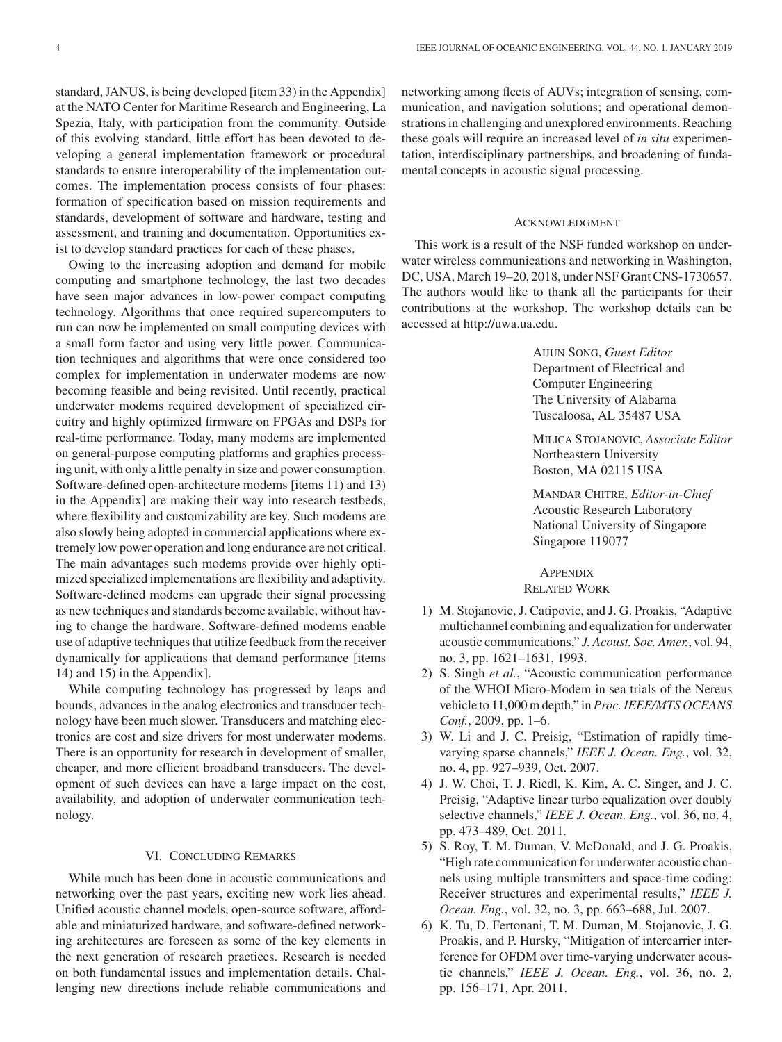standard, JANUS, is being developed [item 33) in the Appendix] at the NATO Center for Maritime Research and Engineering, La Spezia, Italy, with participation from the community. Outside of this evolving standard, little effort has been devoted to developing a general implementation framework or procedural standards to ensure interoperability of the implementation outcomes. The implementation process consists of four phases: formation of specification based on mission requirements and standards, development of software and hardware, testing and assessment, and training and documentation. Opportunities exist to develop standard practices for each of these phases.

Owing to the increasing adoption and demand for mobile computing and smartphone technology, the last two decades have seen major advances in low-power compact computing technology. Algorithms that once required supercomputers to run can now be implemented on small computing devices with a small form factor and using very little power. Communication techniques and algorithms that were once considered too complex for implementation in underwater modems are now becoming feasible and being revisited. Until recently, practical underwater modems required development of specialized circuitry and highly optimized firmware on FPGAs and DSPs for real-time performance. Today, many modems are implemented on general-purpose computing platforms and graphics processing unit, with only a little penalty in size and power consumption. Software-defined open-architecture modems [items 11) and 13) in the Appendix] are making their way into research testbeds, where flexibility and customizability are key. Such modems are also slowly being adopted in commercial applications where extremely low power operation and long endurance are not critical. The main advantages such modems provide over highly optimized specialized implementations are flexibility and adaptivity. Software-defined modems can upgrade their signal processing as new techniques and standards become available, without having to change the hardware. Software-defined modems enable use of adaptive techniques that utilize feedback from the receiver dynamically for applications that demand performance [items 14) and 15) in the Appendix].

While computing technology has progressed by leaps and bounds, advances in the analog electronics and transducer technology have been much slower. Transducers and matching electronics are cost and size drivers for most underwater modems. There is an opportunity for research in development of smaller, cheaper, and more efficient broadband transducers. The development of such devices can have a large impact on the cost, availability, and adoption of underwater communication technology.

### VI. CONCLUDING REMARKS

While much has been done in acoustic communications and networking over the past years, exciting new work lies ahead. Unified acoustic channel models, open-source software, affordable and miniaturized hardware, and software-defined networking architectures are foreseen as some of the key elements in the next generation of research practices. Research is needed on both fundamental issues and implementation details. Challenging new directions include reliable communications and networking among fleets of AUVs; integration of sensing, communication, and navigation solutions; and operational demonstrations in challenging and unexplored environments. Reaching these goals will require an increased level of *in situ* experimentation, interdisciplinary partnerships, and broadening of fundamental concepts in acoustic signal processing.

#### ACKNOWLEDGMENT

This work is a result of the NSF funded workshop on underwater wireless communications and networking in Washington, DC, USA, March 19–20, 2018, under NSF Grant CNS-1730657. The authors would like to thank all the participants for their contributions at the workshop. The workshop details can be accessed at http://uwa.ua.edu.

> AIJUN SONG, *Guest Editor* Department of Electrical and Computer Engineering The University of Alabama Tuscaloosa, AL 35487 USA

MILICA STOJANOVIC, *Associate Editor* Northeastern University Boston, MA 02115 USA

MANDAR CHITRE, *Editor-in-Chief* Acoustic Research Laboratory National University of Singapore Singapore 119077

APPENDIX RELATED WORK

- 1) M. Stojanovic, J. Catipovic, and J. G. Proakis, "Adaptive multichannel combining and equalization for underwater acoustic communications," *J. Acoust. Soc. Amer.*, vol. 94, no. 3, pp. 1621–1631, 1993.
- 2) S. Singh *et al.*, "Acoustic communication performance of the WHOI Micro-Modem in sea trials of the Nereus vehicle to 11,000 m depth," in *Proc. IEEE/MTS OCEANS Conf.*, 2009, pp. 1–6.
- 3) W. Li and J. C. Preisig, "Estimation of rapidly timevarying sparse channels," *IEEE J. Ocean. Eng.*, vol. 32, no. 4, pp. 927–939, Oct. 2007.
- 4) J. W. Choi, T. J. Riedl, K. Kim, A. C. Singer, and J. C. Preisig, "Adaptive linear turbo equalization over doubly selective channels," *IEEE J. Ocean. Eng.*, vol. 36, no. 4, pp. 473–489, Oct. 2011.
- 5) S. Roy, T. M. Duman, V. McDonald, and J. G. Proakis, "High rate communication for underwater acoustic channels using multiple transmitters and space-time coding: Receiver structures and experimental results," *IEEE J. Ocean. Eng.*, vol. 32, no. 3, pp. 663–688, Jul. 2007.
- 6) K. Tu, D. Fertonani, T. M. Duman, M. Stojanovic, J. G. Proakis, and P. Hursky, "Mitigation of intercarrier interference for OFDM over time-varying underwater acoustic channels," *IEEE J. Ocean. Eng.*, vol. 36, no. 2, pp. 156–171, Apr. 2011.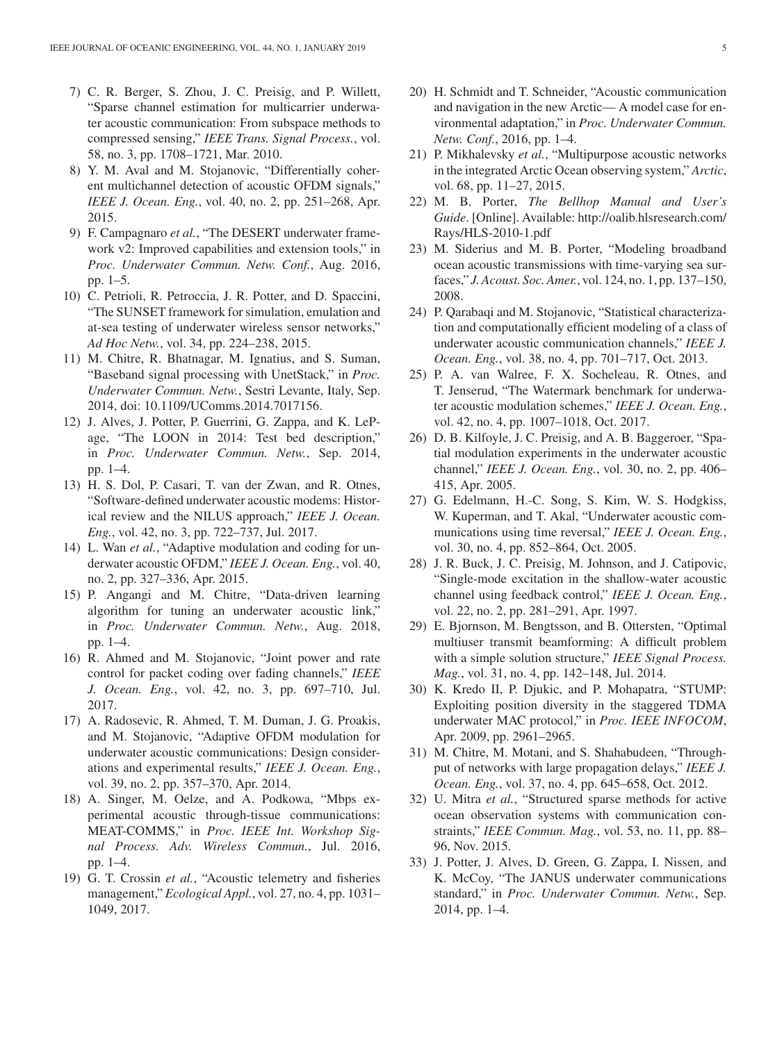- 7) C. R. Berger, S. Zhou, J. C. Preisig, and P. Willett, "Sparse channel estimation for multicarrier underwater acoustic communication: From subspace methods to compressed sensing," *IEEE Trans. Signal Process.*, vol. 58, no. 3, pp. 1708–1721, Mar. 2010.
- 8) Y. M. Aval and M. Stojanovic, "Differentially coherent multichannel detection of acoustic OFDM signals," *IEEE J. Ocean. Eng.*, vol. 40, no. 2, pp. 251–268, Apr. 2015.
- 9) F. Campagnaro *et al.*, "The DESERT underwater framework v2: Improved capabilities and extension tools," in *Proc. Underwater Commun. Netw. Conf.*, Aug. 2016, pp. 1–5.
- 10) C. Petrioli, R. Petroccia, J. R. Potter, and D. Spaccini, "The SUNSET framework for simulation, emulation and at-sea testing of underwater wireless sensor networks," *Ad Hoc Netw.*, vol. 34, pp. 224–238, 2015.
- 11) M. Chitre, R. Bhatnagar, M. Ignatius, and S. Suman, "Baseband signal processing with UnetStack," in *Proc. Underwater Commun. Netw.*, Sestri Levante, Italy, Sep. 2014, doi: 10.1109/UComms.2014.7017156.
- 12) J. Alves, J. Potter, P. Guerrini, G. Zappa, and K. LePage, "The LOON in 2014: Test bed description," in *Proc. Underwater Commun. Netw.*, Sep. 2014, pp. 1–4.
- 13) H. S. Dol, P. Casari, T. van der Zwan, and R. Otnes, "Software-defined underwater acoustic modems: Historical review and the NILUS approach," *IEEE J. Ocean. Eng.*, vol. 42, no. 3, pp. 722–737, Jul. 2017.
- 14) L. Wan *et al.*, "Adaptive modulation and coding for underwater acoustic OFDM," *IEEE J. Ocean. Eng.*, vol. 40, no. 2, pp. 327–336, Apr. 2015.
- 15) P. Angangi and M. Chitre, "Data-driven learning algorithm for tuning an underwater acoustic link," in *Proc. Underwater Commun. Netw.*, Aug. 2018, pp. 1–4.
- 16) R. Ahmed and M. Stojanovic, "Joint power and rate control for packet coding over fading channels," *IEEE J. Ocean. Eng.*, vol. 42, no. 3, pp. 697–710, Jul. 2017.
- 17) A. Radosevic, R. Ahmed, T. M. Duman, J. G. Proakis, and M. Stojanovic, "Adaptive OFDM modulation for underwater acoustic communications: Design considerations and experimental results," *IEEE J. Ocean. Eng.*, vol. 39, no. 2, pp. 357–370, Apr. 2014.
- 18) A. Singer, M. Oelze, and A. Podkowa, "Mbps experimental acoustic through-tissue communications: MEAT-COMMS," in *Proc. IEEE Int. Workshop Signal Process. Adv. Wireless Commun.*, Jul. 2016, pp. 1–4.
- 19) G. T. Crossin *et al.*, "Acoustic telemetry and fisheries management," *Ecological Appl.*, vol. 27, no. 4, pp. 1031– 1049, 2017.
- 20) H. Schmidt and T. Schneider, "Acoustic communication and navigation in the new Arctic— A model case for environmental adaptation," in *Proc. Underwater Commun. Netw. Conf.*, 2016, pp. 1–4.
- 21) P. Mikhalevsky *et al.*, "Multipurpose acoustic networks in the integrated Arctic Ocean observing system," *Arctic*, vol. 68, pp. 11–27, 2015.
- 22) M. B. Porter, *The Bellhop Manual and User's Guide*. [Online]. Available: [http://oalib.hlsresearch.com/](http://oalib.hlsresearch.com/Rays/HLS-2010-1.pdf) [Rays/HLS-2010-1.pdf](http://oalib.hlsresearch.com/Rays/HLS-2010-1.pdf)
- 23) M. Siderius and M. B. Porter, "Modeling broadband ocean acoustic transmissions with time-varying sea surfaces," *J. Acoust. Soc. Amer.*, vol. 124, no. 1, pp. 137–150, 2008.
- 24) P. Qarabaqi and M. Stojanovic, "Statistical characterization and computationally efficient modeling of a class of underwater acoustic communication channels," *IEEE J. Ocean. Eng.*, vol. 38, no. 4, pp. 701–717, Oct. 2013.
- 25) P. A. van Walree, F. X. Socheleau, R. Otnes, and T. Jenserud, "The Watermark benchmark for underwater acoustic modulation schemes," *IEEE J. Ocean. Eng.*, vol. 42, no. 4, pp. 1007–1018, Oct. 2017.
- 26) D. B. Kilfoyle, J. C. Preisig, and A. B. Baggeroer, "Spatial modulation experiments in the underwater acoustic channel," *IEEE J. Ocean. Eng.*, vol. 30, no. 2, pp. 406– 415, Apr. 2005.
- 27) G. Edelmann, H.-C. Song, S. Kim, W. S. Hodgkiss, W. Kuperman, and T. Akal, "Underwater acoustic communications using time reversal," *IEEE J. Ocean. Eng.*, vol. 30, no. 4, pp. 852–864, Oct. 2005.
- 28) J. R. Buck, J. C. Preisig, M. Johnson, and J. Catipovic, "Single-mode excitation in the shallow-water acoustic channel using feedback control," *IEEE J. Ocean. Eng.*, vol. 22, no. 2, pp. 281–291, Apr. 1997.
- 29) E. Bjornson, M. Bengtsson, and B. Ottersten, "Optimal multiuser transmit beamforming: A difficult problem with a simple solution structure," *IEEE Signal Process. Mag.*, vol. 31, no. 4, pp. 142–148, Jul. 2014.
- 30) K. Kredo II, P. Djukic, and P. Mohapatra, "STUMP: Exploiting position diversity in the staggered TDMA underwater MAC protocol," in *Proc. IEEE INFOCOM*, Apr. 2009, pp. 2961–2965.
- 31) M. Chitre, M. Motani, and S. Shahabudeen, "Throughput of networks with large propagation delays," *IEEE J. Ocean. Eng.*, vol. 37, no. 4, pp. 645–658, Oct. 2012.
- 32) U. Mitra *et al.*, "Structured sparse methods for active ocean observation systems with communication constraints," *IEEE Commun. Mag.*, vol. 53, no. 11, pp. 88– 96, Nov. 2015.
- 33) J. Potter, J. Alves, D. Green, G. Zappa, I. Nissen, and K. McCoy, "The JANUS underwater communications standard," in *Proc. Underwater Commun. Netw.*, Sep. 2014, pp. 1–4.